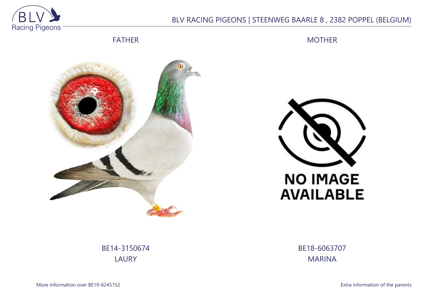

## BLV RACING PIGEONS | STEENWEG BAARLE 8 , 2382 POPPEL (BELGIUM)

FATHER

MOTHER





BE14-3150674 LAURY

BE18-6063707 MARINA

More information over BE19-6245152 **Extra information of the parents**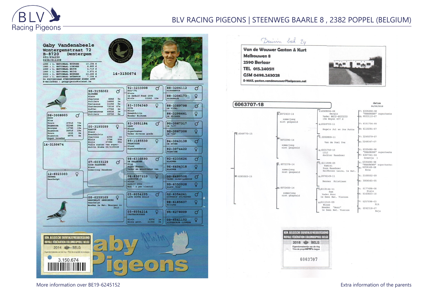

## BLV RACING PIGEONS | STEENWEG BAARLE 8 , 2382 POPPEL (BELGIUM)



More information over BE19-6245152 Extra information of the parents

 $d$ atum

24/09/2018

"KAASBOER" superkweke

"KAASBOER" superkweke M: 6307341-04

"KAASBOER" superkweker

Beja

 $IV. 6335600 - 00$ 

M: 6033110-07

V: 6151734-99

M: 6110291-07

V: 2249379-07

M: 2249347-07

6335690-98

Greetie

 $.6335690-98$ 

 $6259169 - 08$ 

Erna

V: 2100552-09

M: 3006565-05

v: 6177698-08 Niels

 $M: 6163823 - 10$ 

V: 6257098-03  $Rik$ 

M: 6242318-07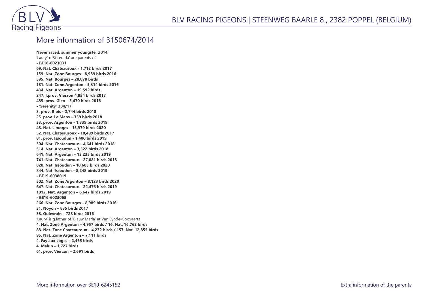

## More information of 3150674/2014

**Never raced, summer youngster 2014** 'Laury' x 'Sister Ida' are parents of **- BE16-6023031 69. Nat. Chateauroux - 1,712 birds 2017 159. Nat. Zone Bourges - 8,989 birds 2016 595. Nat. Bourges – 28,078 birds 181. Nat. Zone Argenton - 5,314 birds 2016 434. Nat. Argenton – 19,592 birds 247. I.prov. Vierzon 4,854 birds 2017 485. prov. Gien – 5,470 birds 2016 - 'Serenity' 384/17 3. prov. Blois - 2,744 birds 2018 25. prov. Le Mans – 359 birds 2018 33. prov. Argenton - 1,339 birds 2019 48. Nat. Limoges - 15,979 birds 2020 52. Nat. Chateauroux - 18,499 birds 2017 81. prov. Issoudun - 1,400 birds 2019 304. Nat. Chateauroux – 4,641 birds 2018 314. Nat. Argenton – 3,322 birds 2018 641. Nat. Argenton – 15,235 birds 2019 741. Nat. Chateauroux – 27,081 birds 2018 828. Nat. Issoudun – 10,603 birds 2020 844. Nat. Issoudun – 8,248 birds 2019 - BE19-6038019 502. Nat. Zone Argenton – 8,123 birds 2020 647. Nat. Chateauroux – 22,476 birds 2019 1012. Nat. Argenton – 6,647 birds 2019 - BE16-6023065 266. Nat. Zone Bourges – 8,989 birds 2016 31. Noyon – 835 birds 2017 38. Quievrain – 728 birds 2016** 'Laury' is g.father of 'Blauw Maria' at Van Eynde-Goovaerts **4. Nat. Zone Argenton – 4,957 birds / 16. Nat. 16,762 birds 88. Nat. Zone Chateauroux – 4,232 birds / 157. Nat. 12,855 birds 95. Nat. Zone Argenton – 7,111 birds 4. Fay aux Loges – 2,465 birds 4. Melun – 1,727 birds 61. prov. Vierzon – 2,691 birds**